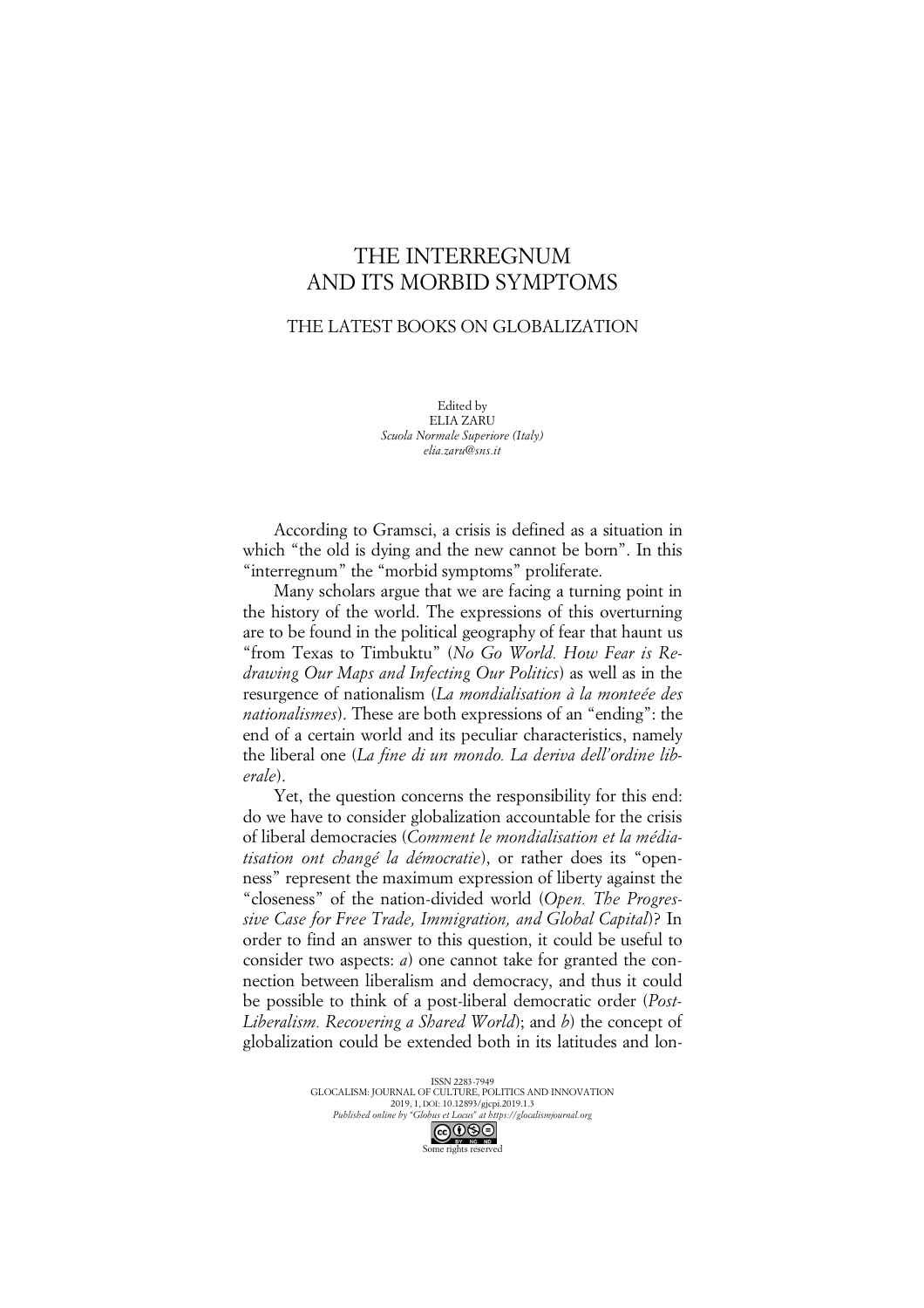## THE INTERREGNUM AND ITS MORBID SYMPTOMS

## THE LATEST BOOKS ON GLOBALIZATION

Edited by ELIA ZARU *Scuola Normale Superiore (Italy) elia.zaru@sns.it*

According to Gramsci, a crisis is defined as a situation in which "the old is dying and the new cannot be born". In this "interregnum" the "morbid symptoms" proliferate.

Many scholars argue that we are facing a turning point in the history of the world. The expressions of this overturning are to be found in the political geography of fear that haunt us "from Texas to Timbuktu" (*No Go World. How Fear is Redrawing Our Maps and Infecting Our Politics*) as well as in the resurgence of nationalism (*La mondialisation à la monteée des nationalismes*). These are both expressions of an "ending": the end of a certain world and its peculiar characteristics, namely the liberal one (*La fine di un mondo. La deriva dell'ordine liberale*).

Yet, the question concerns the responsibility for this end: do we have to consider globalization accountable for the crisis of liberal democracies (*Comment le mondialisation et la médiatisation ont changé la démocratie*), or rather does its "openness" represent the maximum expression of liberty against the "closeness" of the nation-divided world (*Open. The Progressive Case for Free Trade, Immigration, and Global Capital*)? In order to find an answer to this question, it could be useful to consider two aspects: *a*) one cannot take for granted the connection between liberalism and democracy, and thus it could be possible to think of a post-liberal democratic order (*Post-Liberalism. Recovering a Shared World*); and *b*) the concept of globalization could be extended both in its latitudes and lon-

> ISSN 2283-7949 GLOCALISM: JOURNAL OF CULTURE, POLITICS AND INNOVATION 2019, 1, DOI: 10.12893/gjcpi.2019.1.3 *Published online by "Globus et Locus" at https://glocalismjournal.org* Some rights reserved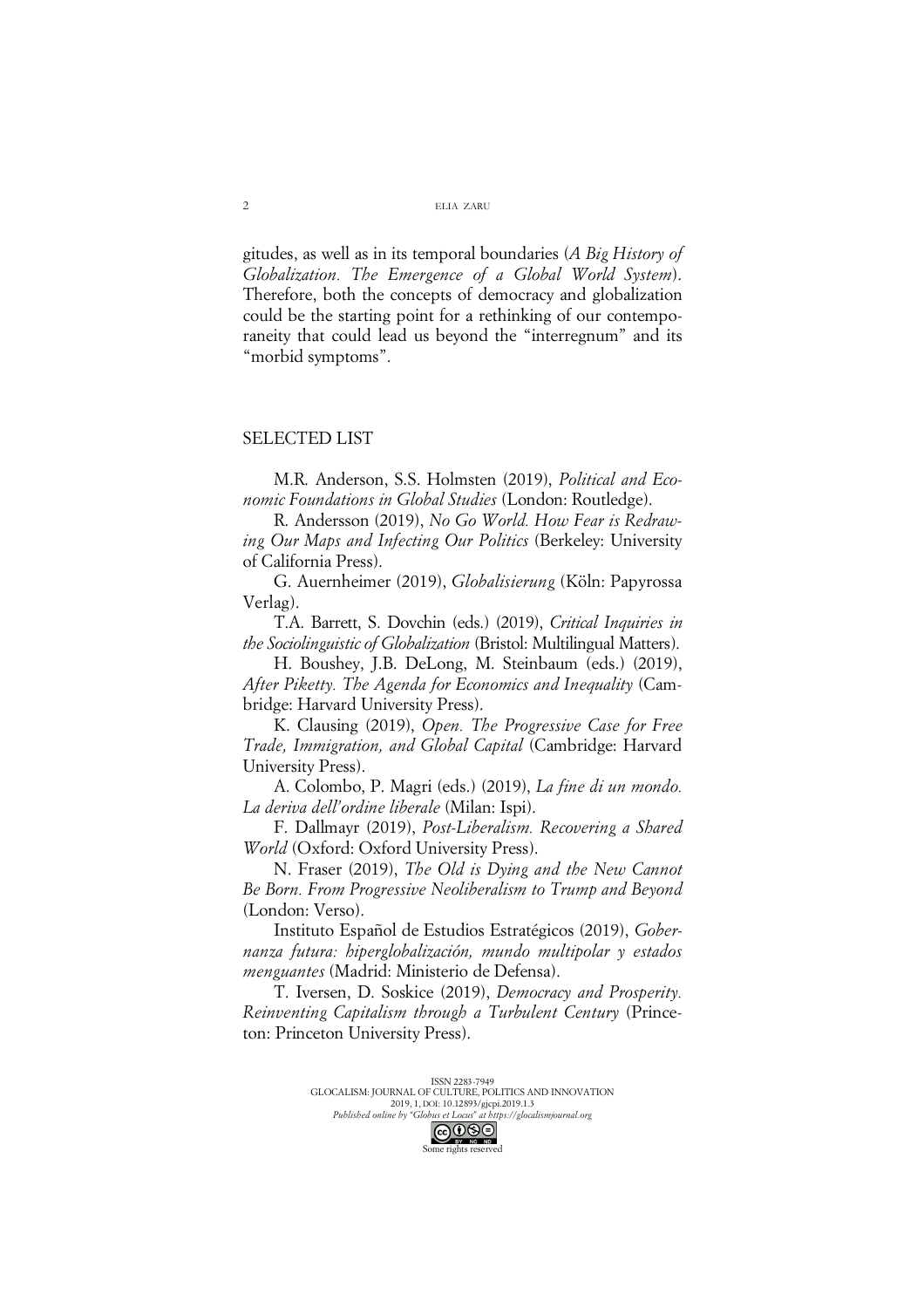gitudes, as well as in its temporal boundaries (*A Big History of Globalization. The Emergence of a Global World System*). Therefore, both the concepts of democracy and globalization could be the starting point for a rethinking of our contemporaneity that could lead us beyond the "interregnum" and its "morbid symptoms".

## SELECTED LIST

M.R. Anderson, S.S. Holmsten (2019), *Political and Economic Foundations in Global Studies* (London: Routledge).

R. Andersson (2019), *No Go World. How Fear is Redrawing Our Maps and Infecting Our Politics* (Berkeley: University of California Press).

G. Auernheimer (2019), *Globalisierung* (Köln: Papyrossa Verlag).

T.A. Barrett, S. Dovchin (eds.) (2019), *Critical Inquiries in the Sociolinguistic of Globalization* (Bristol: Multilingual Matters).

H. Boushey, J.B. DeLong, M. Steinbaum (eds.) (2019), *After Piketty. The Agenda for Economics and Inequality* (Cambridge: Harvard University Press).

K. Clausing (2019), *Open. The Progressive Case for Free Trade, Immigration, and Global Capital* (Cambridge: Harvard University Press).

A. Colombo, P. Magri (eds.) (2019), *La fine di un mondo. La deriva dell'ordine liberale* (Milan: Ispi).

F. Dallmayr (2019), *Post-Liberalism. Recovering a Shared World* (Oxford: Oxford University Press).

N. Fraser (2019), *The Old is Dying and the New Cannot Be Born. From Progressive Neoliberalism to Trump and Beyond* (London: Verso).

Instituto Español de Estudios Estratégicos (2019), *Gobernanza futura: hiperglobalización, mundo multipolar y estados menguantes* (Madrid: Ministerio de Defensa).

T. Iversen, D. Soskice (2019), *Democracy and Prosperity. Reinventing Capitalism through a Turbulent Century* (Princeton: Princeton University Press).

> ISSN 2283-7949 GLOCALISM: JOURNAL OF CULTURE, POLITICS AND INNOVATION 2019, 1, DOI: 10.12893/gjcpi.2019.1.3 *Published online by "Globus et Locus" at https://glocalismjournal.org*

Some rights reserved